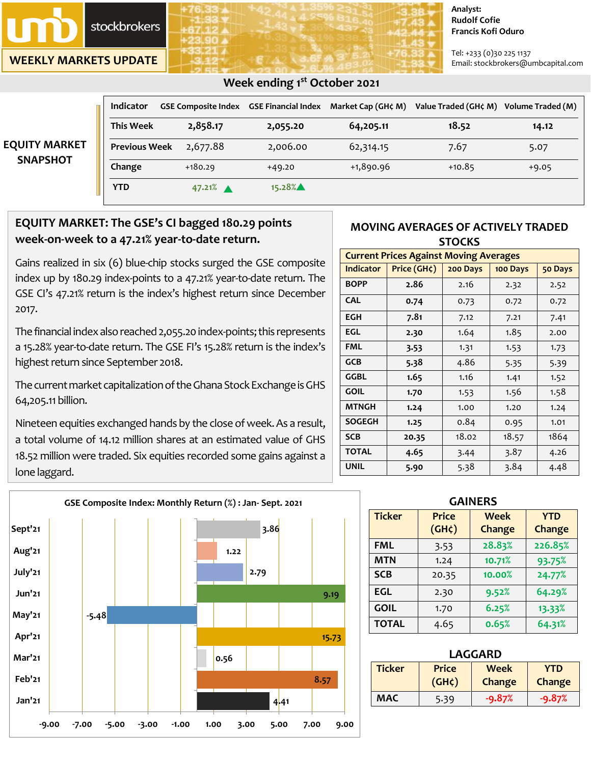

**WEEKLY MARKETS UPDATE**

#### **Analyst: Rudolf Cofie Francis Kofi Oduro**

Tel: +233 (0)30 225 1137 Email: stockbrokers@umbcapital.com

| <b>EQUITY MARKET</b><br><b>SNAPSHOT</b> | <b>Indicator</b>     | <b>GSE Composite Index</b> | <b>GSE Financial Index</b> | Market Cap (GH¢ M) | Value Traded (GH¢ M) | Volume Traded (M) |
|-----------------------------------------|----------------------|----------------------------|----------------------------|--------------------|----------------------|-------------------|
|                                         | <b>This Week</b>     | 2,858.17                   | 2,055.20                   | 64,205.11          | 18.52                | 14.12             |
|                                         | <b>Previous Week</b> | 2,677.88                   | 2,006.00                   | 62,314.15          | 7.67                 | 5.07              |
|                                         | Change               | $+180.29$                  | $+49.20$                   | $+1,890.96$        | $+10.85$             | $+9.05$           |
|                                         | <b>YTD</b>           | $47.21%$ $\triangle$       | 15.28%                     |                    |                      |                   |

## **EQUITY MARKET: The GSE's CI bagged 180.29 points week-on-week to a 47.21% year-to-date return.**

Gains realized in six (6) blue-chip stocks surged the GSE composite index up by 180.29 index-points to a 47.21% year-to-date return. The GSE CI's 47.21% return is the index's highest return since December 2017.

The financial index also reached 2,055.20 index-points; this represents a 15.28% year-to-date return. The GSE FI's 15.28% return is the index's highest return since September 2018.

The current market capitalization of the Ghana Stock Exchange is GHS 64,205.11 billion.

Nineteen equities exchanged hands by the close of week. As a result, a total volume of 14.12 million shares at an estimated value of GHS 18.52 million were traded. Six equities recorded some gains against a lone laggard.



#### **MOVING AVERAGES OF ACTIVELY TRADED STOCKS**

| <b>Current Prices Against Moving Averages</b> |             |          |          |         |  |  |
|-----------------------------------------------|-------------|----------|----------|---------|--|--|
| <b>Indicator</b>                              | Price (GH¢) | 200 Days | 100 Days | 50 Days |  |  |
| <b>BOPP</b>                                   | 2.86        | 2.16     | 2.32     | 2.52    |  |  |
| <b>CAL</b>                                    | 0.74        | 0.73     | 0.72     | 0.72    |  |  |
| EGH                                           | 7.81        | 7.12     | 7.21     | 7.41    |  |  |
| EGL                                           | 2.30        | 1.64     | 1.85     | 2.00    |  |  |
| <b>FML</b>                                    | 3.53        | 1.31     | 1.53     | 1.73    |  |  |
| <b>GCB</b>                                    | 5.38        | 4.86     | 5.35     | 5.39    |  |  |
| <b>GGBL</b>                                   | 1.65        | 1.16     | 1.41     | 1.52    |  |  |
| <b>GOIL</b>                                   | 1.70        | 1.53     | 1.56     | 1.58    |  |  |
| <b>MTNGH</b>                                  | 1.24        | 1.00     | 1.20     | 1.24    |  |  |
| <b>SOGEGH</b>                                 | 1.25        | 0.84     | 0.95     | 1.01    |  |  |
| <b>SCB</b>                                    | 20.35       | 18.02    | 18.57    | 1864    |  |  |
| <b>TOTAL</b>                                  | 4.65        | 3.44     | 3.87     | 4.26    |  |  |
| <b>UNIL</b>                                   | 5.90        | 5.38     | 3.84     | 4.48    |  |  |

| <b>GAINERS</b> |                      |                       |                      |  |  |
|----------------|----------------------|-----------------------|----------------------|--|--|
| <b>Ticker</b>  | Price<br>$(GH\zeta)$ | <b>Week</b><br>Change | <b>YTD</b><br>Change |  |  |
| <b>FML</b>     | 3.53                 | 28.83%                | 226.85%              |  |  |
| <b>MTN</b>     | 1.24                 | 10.71%                | 93.75%               |  |  |
| <b>SCB</b>     | 20.35                | 10.00%                | 24.77%               |  |  |
| <b>EGL</b>     | 2.30                 | 9.52%                 | 64.29%               |  |  |
| <b>GOIL</b>    | 1.70                 | 6.25%                 | 13.33%               |  |  |
| <b>TOTAL</b>   | 4.65                 | 0.65%                 | 64.31%               |  |  |

|      |      | <b>LAGGARD</b>                                      |                       |                             |          |  |
|------|------|-----------------------------------------------------|-----------------------|-----------------------------|----------|--|
|      | 8.57 | <b>Ticker</b><br><b>Price</b><br>(GH <sub>c</sub> ) | <b>Week</b><br>Change | <b>YTD</b><br><b>Change</b> |          |  |
| 4,41 |      | <b>MAC</b>                                          | 5.39                  | $-9.87%$                    | $-9.87%$ |  |

### **Week ending 1 st October 2021**